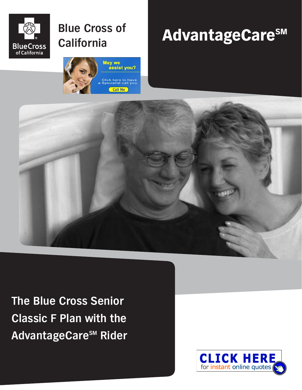

## **Blue Cross of California**



# AdvantageCareSM



**The Blue Cross Senior Classic F Plan with the AdvantageCareSM Rider**

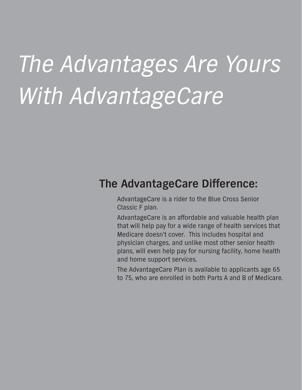# The Advantages Are Yours With AdvantageCare

## **The AdvantageCare Difference:**

AdvantageCare is a rider to the Blue Cross Senior Classic F plan.

AdvantageCare is an affordable and valuable health plan that will help pay for a wide range of health services that Medicare doesn't cover. This includes hospital and physician charges, and unlike most other senior health plans, will even help pay for nursing facility, home health and home support services.

The AdvantageCare Plan is available to applicants age 65 to 75, who are enrolled in both Parts A and B of Medicare.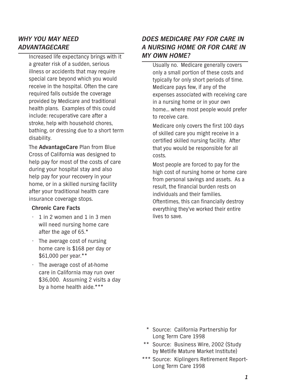## *WHY YOU MAY NEED ADVANTAGECARE*

Increased life expectancy brings with it a greater risk of a sudden, serious illness or accidents that may require special care beyond which you would receive in the hospital. Often the care required falls outside the coverage provided by Medicare and traditional health plans. Examples of this could include: recuperative care after a stroke, help with household chores, bathing, or dressing due to a short term disability.

The **AdvantageCare** Plan from Blue Cross of California was designed to help pay for most of the costs of care during your hospital stay and also help pay for your recovery in your home, or in a skilled nursing facility after your traditional health care insurance coverage stops.

#### **Chronic Care Facts**

- $\cdot$  1 in 2 women and 1 in 3 men will need nursing home care after the age of 65.\*
- The average cost of nursing home care is \$168 per day or \$61,000 per year.\*\*
- The average cost of at-home care in California may run over \$36,000. Assuming 2 visits a day by a home health aide.\*\*\*

## *DOES MEDICARE PAY FOR CARE IN A NURSING HOME OR FOR CARE IN MY OWN HOME?*

Usually no. Medicare generally covers only a small portion of these costs and typically for only short periods of time. Medicare pays few, if any of the expenses associated with receiving care in a nursing home or in your own home… where most people would prefer to receive care.

Medicare only covers the first 100 days of skilled care you might receive in a certified skilled nursing facility. After that you would be responsible for all costs.

Most people are forced to pay for the high cost of nursing home or home care from personal savings and assets. As a result, the financial burden rests on individuals and their families. Oftentimes, this can financially destroy everything they've worked their entire lives to save.

- \* Source: California Partnership for Long Term Care 1998
- \*\* Source: Business Wire, 2002 (Study by Metlife Mature Market Institute)
- \*\*\* Source: Kiplingers Retirement Report-Long Term Care 1998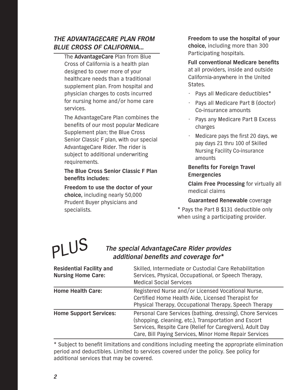## *THE ADVANTAGECARE PLAN FROM BLUE CROSS OF CALIFORNIA…*

The **AdvantageCare** Plan from Blue Cross of California is a health plan designed to cover more of your healthcare needs than a traditional supplement plan. From hospital and physician charges to costs incurred for nursing home and/or home care services.

The AdvantageCare Plan combines the benefits of our most popular Medicare Supplement plan; the Blue Cross Senior Classic F plan, with our special AdvantageCare Rider. The rider is subject to additional underwriting requirements.

## **The Blue Cross Senior Classic F Plan benefits includes:**

**Freedom to use the doctor of your choice,** including nearly 50,000 Prudent Buyer physicians and specialists.

**Freedom to use the hospital of your choice,** including more than 300 Participating hospitals.

**Full conventional Medicare benefits** at all providers, inside and outside California-anywhere in the United States.

- Pays all Medicare deductibles\*
- Pays all Medicare Part B (doctor) Co-insurance amounts
- Pays any Medicare Part B Excess charges
- Medicare pays the first 20 days, we pay days 21 thru 100 of Skilled Nursing Facility Co-insurance amounts

## **Benefits for Foreign Travel Emergencies**

**Claim Free Processing** for virtually all medical claims

## **Guaranteed Renewable** coverage

\* Pays the Part B \$131 deductible only when using a participating provider.

# PLUS

## *The special AdvantageCare Rider provides additional benefits and coverage for\**

| <b>Residential Facility and</b><br><b>Nursing Home Care:</b> | Skilled, Intermediate or Custodial Care Rehabilitation<br>Services, Physical, Occupational, or Speech Therapy,<br><b>Medical Social Services</b>                                                                                           |
|--------------------------------------------------------------|--------------------------------------------------------------------------------------------------------------------------------------------------------------------------------------------------------------------------------------------|
| <b>Home Health Care:</b>                                     | Registered Nurse and/or Licensed Vocational Nurse,<br>Certified Home Health Aide, Licensed Therapist for<br>Physical Therapy, Occupational Therapy, Speech Therapy                                                                         |
| <b>Home Support Services:</b>                                | Personal Care Services (bathing, dressing), Chore Services<br>(shopping, cleaning, etc.), Transportation and Escort<br>Services, Respite Care (Relief for Caregivers), Adult Day<br>Care, Bill Paying Services, Minor Home Repair Services |

\* Subject to benefit limitations and conditions including meeting the appropriate elimination period and deductibles. Limited to services covered under the policy. See policy for additional services that may be covered.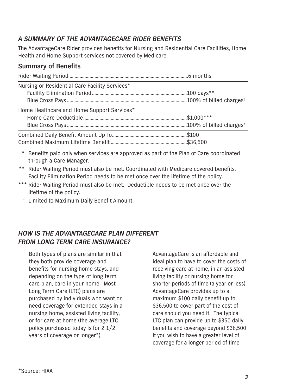## *A SUMMARY OF THE ADVANTAGECARE RIDER BENEFITS*

The AdvantageCare Rider provides benefits for Nursing and Residential Care Facilities, Home Health and Home Support services not covered by Medicare.

## **Summary of Benefits**

| Nursing or Residential Care Facility Services* |  |
|------------------------------------------------|--|
|                                                |  |
|                                                |  |
| Home Healthcare and Home Support Services*     |  |
|                                                |  |
|                                                |  |
|                                                |  |
|                                                |  |

\* Benefits paid only when services are approved as part of the Plan of Care coordinated through a Care Manager.

\*\* Rider Waiting Period must also be met. Coordinated with Medicare covered benefits. Facility Elimination Period needs to be met once over the lifetime of the policy.

- \*\*\* Rider Waiting Period must also be met. Deductible needs to be met once over the lifetime of the policy.
	- † Limited to Maximum Daily Benefit Amount.

## *HOW IS THE ADVANTAGECARE PLAN DIFFERENT FROM LONG TERM CARE INSURANCE?*

Both types of plans are similar in that they both provide coverage and benefits for nursing home stays, and depending on the type of long term care plan, care in your home. Most Long Term Care (LTC) plans are purchased by individuals who want or need coverage for extended stays in a nursing home, assisted living facility, or for care at home (the average LTC policy purchased today is for 2 1/2 years of coverage or longer\*).

AdvantageCare is an affordable and ideal plan to have to cover the costs of receiving care at home, in an assisted living facility or nursing home for shorter periods of time (a year or less). AdvantageCare provides up to a maximum \$100 daily benefit up to \$36,500 to cover part of the cost of care should you need it. The typical LTC plan can provide up to \$350 daily benefits and coverage beyond \$36,500 if you wish to have a greater level of coverage for a longer period of time.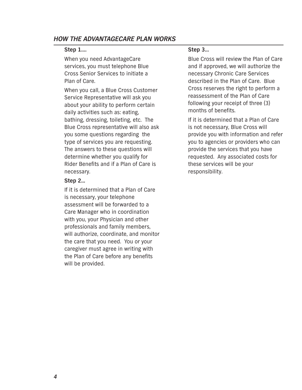## *HOW THE ADVANTAGECARE PLAN WORKS*

#### **Step 1….**

When you need AdvantageCare services, you must telephone Blue Cross Senior Services to initiate a Plan of Care.

When you call, a Blue Cross Customer Service Representative will ask you about your ability to perform certain daily activities such as: eating, bathing, dressing, toileting, etc. The Blue Cross representative will also ask you some questions regarding the type of services you are requesting. The answers to these questions will determine whether you qualify for Rider Benefits and if a Plan of Care is necessary.

#### **Step 2…**

If it is determined that a Plan of Care is necessary, your telephone assessment will be forwarded to a Care Manager who in coordination with you, your Physician and other professionals and family members, will authorize, coordinate, and monitor the care that you need. You or your caregiver must agree in writing with the Plan of Care before any benefits will be provided.

#### **Step 3…**

Blue Cross will review the Plan of Care and if approved, we will authorize the necessary Chronic Care Services described in the Plan of Care. Blue Cross reserves the right to perform a reassessment of the Plan of Care following your receipt of three (3) months of benefits.

If it is determined that a Plan of Care is not necessary, Blue Cross will provide you with information and refer you to agencies or providers who can provide the services that you have requested. Any associated costs for these services will be your responsibility.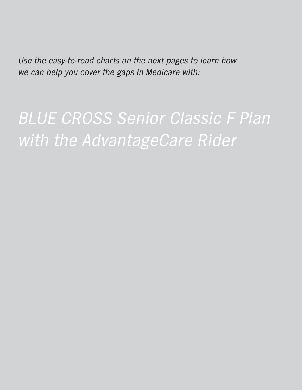Use the easy-to-read charts on the next pages to learn how we can help you cover the gaps in Medicare with:

BLUE CROSS Senior Classic F Plan with the AdvantageCare Rider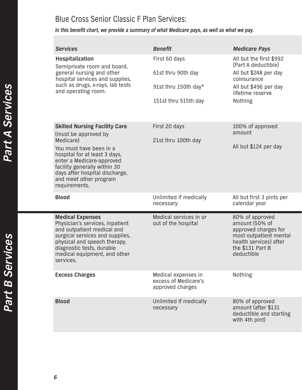## Blue Cross Senior Classic F Plan Services:

*In this benefit chart, we provide a summary of what Medicare pays, as well as what we pay.*

|  | <b>Services</b>                                                                                                                                                                                                          | <b>Benefit</b>                                                  | <b>Medicare Pays</b>                                                                                                                            |
|--|--------------------------------------------------------------------------------------------------------------------------------------------------------------------------------------------------------------------------|-----------------------------------------------------------------|-------------------------------------------------------------------------------------------------------------------------------------------------|
|  | Hospitalization<br>Semiprivate room and board,<br>general nursing and other<br>hospital services and supplies,<br>such as drugs, x-rays, lab tests<br>and operating room.                                                | First 60 days                                                   | All but the first \$992<br>(Part A deductible)                                                                                                  |
|  |                                                                                                                                                                                                                          | 61st thru 90th day                                              | All but \$248 per day<br>coinsurance                                                                                                            |
|  |                                                                                                                                                                                                                          | 91st thru 150th day*                                            | All but \$496 per day<br>lifetime reserve                                                                                                       |
|  |                                                                                                                                                                                                                          | 151st thru 515th day                                            | Nothing                                                                                                                                         |
|  | <b>Skilled Nursing Facility Care</b><br>(must be approved by                                                                                                                                                             | First 20 days                                                   | 100% of approved<br>amount                                                                                                                      |
|  | Medicare)<br>You must have been in a<br>hospital for at least 3 days,<br>enter a Medicare-approved<br>facility generally within 30<br>days after hospital discharge,<br>and meet other program<br>requirements.          | 21st thru 100th day                                             | All but \$124 per day                                                                                                                           |
|  | <b>Blood</b>                                                                                                                                                                                                             | Unlimited if medically<br>necessary                             | All but first 3 pints per<br>calendar year                                                                                                      |
|  | <b>Medical Expenses</b><br>Physician's services, inpatient<br>and outpatient medical and<br>surgical services and supplies,<br>physical and speech therapy,<br>diagnostic tests, durable<br>medical equipment, and other | Medical services in or<br>out of the hospital                   | 80% of approved<br>amount (50% of<br>approved charges for<br>most outpatient mental<br>health services) after<br>the \$131 Part B<br>deductible |
|  | services.                                                                                                                                                                                                                |                                                                 |                                                                                                                                                 |
|  | <b>Excess Charges</b>                                                                                                                                                                                                    | Medical expenses in<br>excess of Medicare's<br>approved charges | <b>Nothing</b>                                                                                                                                  |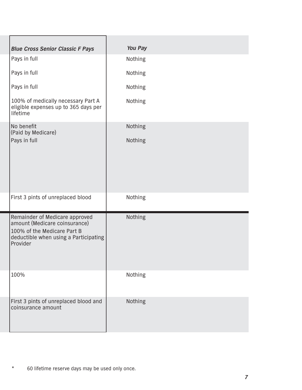| <b>Blue Cross Senior Classic F Pays</b>                                                                                                             | <b>You Pay</b> |  |
|-----------------------------------------------------------------------------------------------------------------------------------------------------|----------------|--|
| Pays in full                                                                                                                                        | Nothing        |  |
| Pays in full                                                                                                                                        | Nothing        |  |
| Pays in full                                                                                                                                        | Nothing        |  |
| 100% of medically necessary Part A<br>eligible expenses up to 365 days per<br>lifetime                                                              | Nothing        |  |
| No benefit<br>(Paid by Medicare)                                                                                                                    | Nothing        |  |
| Pays in full                                                                                                                                        | Nothing        |  |
|                                                                                                                                                     |                |  |
| First 3 pints of unreplaced blood                                                                                                                   | Nothing        |  |
| Remainder of Medicare approved<br>amount (Medicare coinsurance)<br>100% of the Medicare Part B<br>deductible when using a Participating<br>Provider | Nothing        |  |
| 100%                                                                                                                                                | Nothing        |  |
| First 3 pints of unreplaced blood and<br>coinsurance amount                                                                                         | Nothing        |  |

\* 60 lifetime reserve days may be used only once.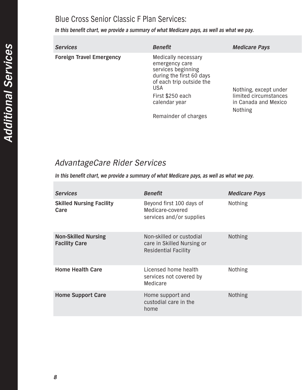## Blue Cross Senior Classic F Plan Services:

*In this benefit chart, we provide a summary of what Medicare pays, as well as what we pay.*

| <b>Services</b>                 | <b>Benefit</b>                                                                                                                                                         | <b>Medicare Pays</b>                                                   |
|---------------------------------|------------------------------------------------------------------------------------------------------------------------------------------------------------------------|------------------------------------------------------------------------|
| <b>Foreign Travel Emergency</b> | Medically necessary<br>emergency care<br>services beginning<br>during the first 60 days<br>of each trip outside the<br><b>USA</b><br>First \$250 each<br>calendar year | Nothing, except under<br>limited circumstances<br>in Canada and Mexico |
|                                 | Remainder of charges                                                                                                                                                   | <b>Nothing</b>                                                         |

## AdvantageCare Rider Services

*In this benefit chart, we provide a summary of what Medicare pays, as well as what we pay.*

| <b>Services</b>                                    | <b>Benefit</b>                                                                        | <b>Medicare Pays</b> |
|----------------------------------------------------|---------------------------------------------------------------------------------------|----------------------|
| <b>Skilled Nursing Facility</b><br>Care            | Beyond first 100 days of<br>Medicare-covered<br>services and/or supplies              | <b>Nothing</b>       |
| <b>Non-Skilled Nursing</b><br><b>Facility Care</b> | Non-skilled or custodial<br>care in Skilled Nursing or<br><b>Residential Facility</b> | <b>Nothing</b>       |
| <b>Home Health Care</b>                            | Licensed home health<br>services not covered by<br>Medicare                           | <b>Nothing</b>       |
| <b>Home Support Care</b>                           | Home support and<br>custodial care in the<br>home                                     | <b>Nothing</b>       |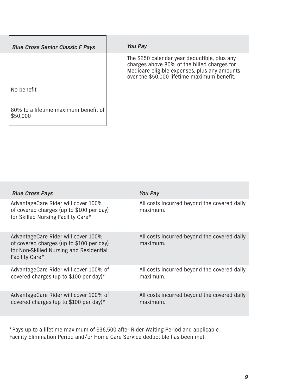| <b>Blue Cross Senior Classic F Pays</b>          | <b>You Pay</b>                                                                                                                                                                             |
|--------------------------------------------------|--------------------------------------------------------------------------------------------------------------------------------------------------------------------------------------------|
|                                                  | The \$250 calendar year deductible, plus any<br>charges above 80% of the billed charges for<br>Medicare-eligible expenses, plus any amounts<br>over the \$50,000 lifetime maximum benefit. |
| No benefit                                       |                                                                                                                                                                                            |
| 80% to a lifetime maximum benefit of<br>\$50,000 |                                                                                                                                                                                            |

| <b>Blue Cross Pays</b>                                                                                                                       | <b>You Pay</b>                                          |
|----------------------------------------------------------------------------------------------------------------------------------------------|---------------------------------------------------------|
| AdvantageCare Rider will cover 100%<br>of covered charges (up to \$100 per day)<br>for Skilled Nursing Facility Care*                        | All costs incurred beyond the covered daily<br>maximum. |
| AdvantageCare Rider will cover 100%<br>of covered charges (up to \$100 per day)<br>for Non-Skilled Nursing and Residential<br>Facility Care* | All costs incurred beyond the covered daily<br>maximum. |
| AdvantageCare Rider will cover 100% of<br>covered charges (up to \$100 per day)*                                                             | All costs incurred beyond the covered daily<br>maximum. |
| AdvantageCare Rider will cover 100% of<br>covered charges (up to \$100 per day)*                                                             | All costs incurred beyond the covered daily<br>maximum. |

\*Pays up to a lifetime maximum of \$36,500 after Rider Waiting Period and applicable Facility Elimination Period and/or Home Care Service deductible has been met.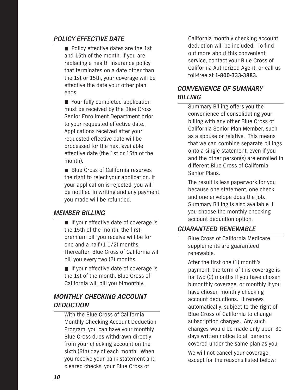## *POLICY EFFECTIVE DATE*

■ Policy effective dates are the 1st and 15th of the month. If you are replacing a health insurance policy that terminates on a date other than the 1st or 15th, your coverage will be effective the date your other plan ends.

■ Your fully completed application must be received by the Blue Cross Senior Enrollment Department prior to your requested effective date. Applications received after your requested effective date will be processed for the next available effective date (the 1st or 15th of the month).

■ Blue Cross of California reserves the right to reject your application. If your application is rejected, you will be notified in writing and any payment you made will be refunded.

## *MEMBER BILLING*

■ If your effective date of coverage is the 15th of the month, the first premium bill you receive will be for one-and-a-half (1 1/2) months. Thereafter, Blue Cross of California will bill you every two (2) months.

■ If your effective date of coverage is the 1st of the month, Blue Cross of California will bill you bimonthly.

## *MONTHLY CHECKING ACCOUNT DEDUCTION*

With the Blue Cross of California Monthly Checking Account Deduction Program, you can have your monthly Blue Cross dues withdrawn directly from your checking account on the sixth (6th) day of each month. When you receive your bank statement and cleared checks, your Blue Cross of

California monthly checking account deduction will be included. To find out more about this convenient service, contact your Blue Cross of California Authorized Agent, or call us toll-free at **1-800-333-3883.**

## *CONVENIENCE OF SUMMARY BILLING*

Summary Billing offers you the convenience of consolidating your billing with any other Blue Cross of California Senior Plan Member, such as a spouse or relative. This means that we can combine separate billings onto a single statement, even if you and the other person(s) are enrolled in different Blue Cross of California Senior Plans.

The result is less paperwork for you because one statement, one check and one envelope does the job. Summary Billing is also available if you choose the monthly checking account deduction option.

## *GUARANTEED RENEWABLE*

Blue Cross of California Medicare supplements are guaranteed renewable.

After the first one (1) month's payment, the term of this coverage is for two (2) months if you have chosen bimonthly coverage, or monthly if you have chosen monthly checking account deductions. It renews automatically, subject to the right of Blue Cross of California to change subscription charges. Any such changes would be made only upon 30 days written notice to all persons covered under the same plan as you.

We will not cancel your coverage, except for the reasons listed below: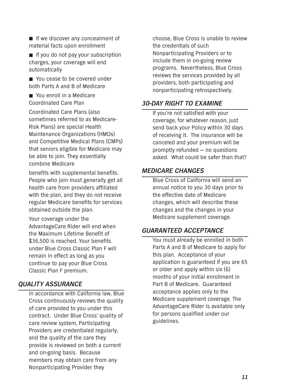- If we discover any concealment of material facts upon enrollment
- If you do not pay your subscription charges, your coverage will end automatically
- You cease to be covered under both Parts A and B of Medicare
- You enroll in a Medicare Coordinated Care Plan

Coordinated Care Plans (also sometimes referred to as Medicare-Risk Plans) are special Health Maintenance Organizations (HMOs) and Competitive Medical Plans (CMPs) that seniors eligible for Medicare may be able to join. They essentially combine Medicare

benefits with supplemental benefits. People who join must generally get all health care from providers affiliated with the plan, and they do not receive regular Medicare benefits for services obtained outside the plan.

Your coverage under the AdvantageCare Rider will end when the Maximum Lifetime Benefit of \$36,500 is reached. Your benefits under Blue Cross Classic Plan F will remain in effect as long as you continue to pay your Blue Cross Classic Plan F premium.

## *QUALITY ASSURANCE*

In accordance with California law, Blue Cross continuously reviews the quality of care provided to you under this contract. Under Blue Cross' quality of care review system, Participating Providers are credentialed regularly, and the quality of the care they provide is reviewed on both a current and on-going basis. Because members may obtain care from any Nonparticipating Provider they

choose, Blue Cross is unable to review the credentials of such Nonparticipating Providers or to include them in on-going review programs. Nevertheless, Blue Cross reviews the services provided by all providers, both participating and nonparticipating retrospectively.

## *30-DAY RIGHT TO EXAMINE*

If you're not satisfied with your coverage, for whatever reason, just send back your Policy within 30 days of receiving it. The insurance will be canceled and your premium will be promptly refunded — no questions asked. What could be safer than that?

## *MEDICARE CHANGES*

Blue Cross of California will send an annual notice to you 30 days prior to the effective date of Medicare changes, which will describe these changes and the changes in your Medicare supplement coverage.

## *GUARANTEED ACCEPTANCE*

You must already be enrolled in both Parts A and B of Medicare to apply for this plan. Acceptance of your application is guaranteed if you are 65 or older and apply within six (6) months of your initial enrollment in Part B of Medicare. Guaranteed acceptance applies only to the Medicare supplement coverage. The AdvantageCare Rider is available only for persons qualified under our guidelines.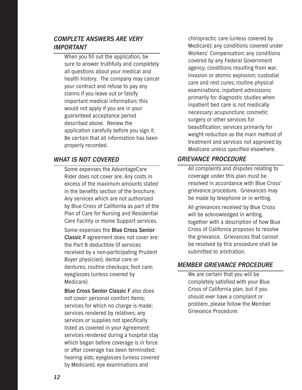## *COMPLETE ANSWERS ARE VERY IMPORTANT*

When you fill out the application, be sure to answer truthfully and completely all questions about your medical and health history. The company may cancel your contract and refuse to pay any claims if you leave out or falsify important medical information; this would not apply if you are in your guaranteed acceptance period described above. Review the application carefully before you sign it. Be certain that all information has been properly recorded.

## *WHAT IS NOT COVERED*

Some expenses the AdvantageCare Rider does not cover are: Any costs in excess of the maximum amounts stated in the benefits section of the brochure. Any services which are not authorized by Blue Cross of California as part of the Plan of Care for Nursing and Residential Care Facility or Home Support services.

Some expenses the **Blue Cross Senior Classic F** agreement does not cover are: the Part B deductible (if services received by a non-participating Prudent Buyer physician), dental care or dentures; routine checkups; foot care; eyeglasses (unless covered by Medicare).

**Blue Cross Senior Classic F** also does not cover: personal comfort items; services for which no charge is made; services rendered by relatives; any services or supplies not specifically listed as covered in your Agreement; services rendered during a hospital stay which began before coverage is in force or after coverage has been terminated; hearing aids; eyeglasses (unless covered by Medicare); eye examinations and

chiropractic care (unless covered by Medicare); any conditions covered under Workers' Compensation; any conditions covered by any Federal Government agency; conditions resulting from war, invasion or atomic explosion; custodial care and rest cures; routine physical examinations; inpatient admissions primarily for diagnostic studies when inpatient bed care is not medically necessary; acupuncture; cosmetic surgery or other services for beautification; services primarily for weight reduction as the main method of treatment and services not approved by Medicare unless specified elsewhere.

## *GRIEVANCE PROCEDURE*

All complaints and disputes relating to coverage under this plan must be resolved in accordance with Blue Cross' grievance procedure. Grievances may be made by telephone or in writing.

All grievances received by Blue Cross will be acknowledged in writing, together with a description of how Blue Cross of California proposes to resolve the grievance. Grievances that cannot be resolved by this procedure shall be submitted to arbitration.

## *MEMBER GRIEVANCE PROCEDURE*

We are certain that you will be completely satisfied with your Blue Cross of California plan, but if you should ever have a complaint or problem, please follow the Member Grievance Procedure: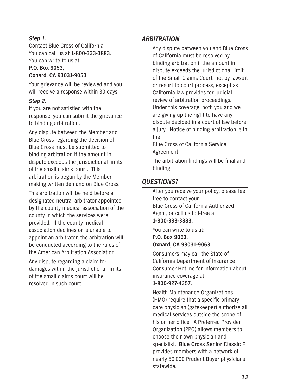## *Step 1.*

Contact Blue Cross of California. You can call us at **1-800-333-3883**. You can write to us at **P.O. Box 9053, Oxnard, CA 93031-9053**.

Your grievance will be reviewed and you will receive a response within 30 days.

### *Step 2.*

If you are not satisfied with the response, you can submit the grievance to binding arbitration.

Any dispute between the Member and Blue Cross regarding the decision of Blue Cross must be submitted to binding arbitration if the amount in dispute exceeds the jurisdictional limits of the small claims court. This arbitration is begun by the Member making written demand on Blue Cross.

This arbitration will be held before a designated neutral arbitrator appointed by the county medical association of the county in which the services were provided. If the county medical association declines or is unable to appoint an arbitrator, the arbitration will be conducted according to the rules of the American Arbitration Association.

Any dispute regarding a claim for damages within the jurisdictional limits of the small claims court will be resolved in such court.

## *ARBITRATION*

Any dispute between you and Blue Cross of California must be resolved by binding arbitration if the amount in dispute exceeds the jurisdictional limit of the Small Claims Court, not by lawsuit or resort to court process, except as California law provides for judicial review of arbitration proceedings. Under this coverage, both you and we are giving up the right to have any dispute decided in a court of law before a jury. Notice of binding arbitration is in the Blue Cross of California Service Agreement.

The arbitration findings will be final and binding.

## *QUESTIONS?*

After you receive your policy, please feel free to contact your Blue Cross of California Authorized Agent, or call us toll-free at **1-800-333-3883.**

You can write to us at: **P.O. Box 9063, Oxnard, CA 93031-9063**.

Consumers may call the State of California Department of Insurance Consumer Hotline for information about insurance coverage at **1-800-927-4357**.

Health Maintenance Organizations (HMO) require that a specific primary care physician (gatekeeper) authorize all medical services outside the scope of his or her office. A Preferred Provider Organization (PPO) allows members to choose their own physician and specialist. **Blue Cross Senior Classic F** provides members with a network of nearly 50,000 Prudent Buyer physicians statewide.